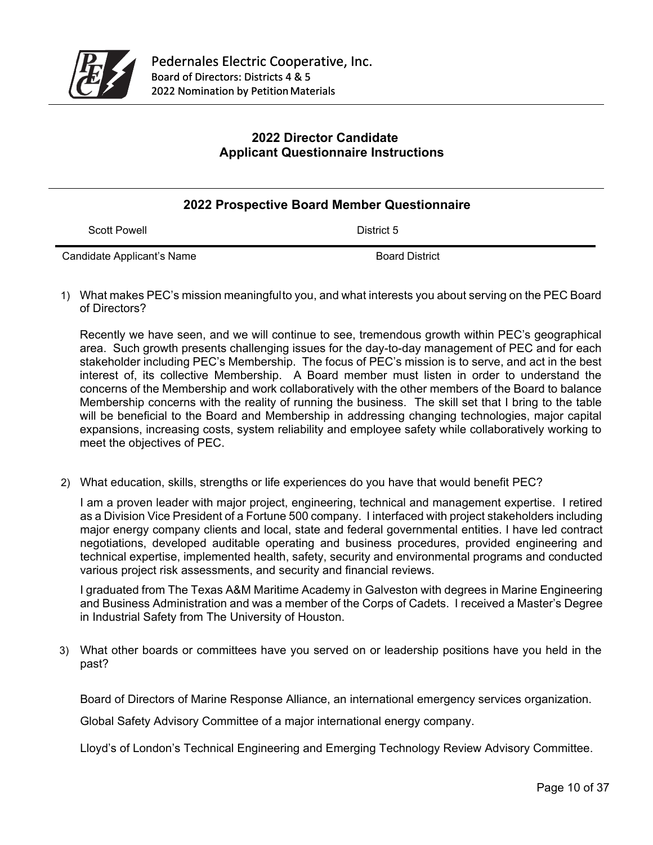

## **2022 Director Candidate Applicant Questionnaire Instructions**

## **2022 Prospective Board Member Questionnaire**

Scott Powell **District 5** 

Candidate Applicant's Name Board District

1) What makes PEC's mission meaningful to you, and what interests you about serving on the PEC Board of Directors?

Recently we have seen, and we will continue to see, tremendous growth within PEC's geographical area. Such growth presents challenging issues for the day-to-day management of PEC and for each stakeholder including PEC's Membership. The focus of PEC's mission is to serve, and act in the best interest of, its collective Membership. A Board member must listen in order to understand the concerns of the Membership and work collaboratively with the other members of the Board to balance Membership concerns with the reality of running the business. The skill set that I bring to the table will be beneficial to the Board and Membership in addressing changing technologies, major capital expansions, increasing costs, system reliability and employee safety while collaboratively working to meet the objectives of PEC.

2) What education, skills, strengths or life experiences do you have that would benefit PEC?

I am a proven leader with major project, engineering, technical and management expertise. I retired as a Division Vice President of a Fortune 500 company. I interfaced with project stakeholders including major energy company clients and local, state and federal governmental entities. I have led contract negotiations, developed auditable operating and business procedures, provided engineering and technical expertise, implemented health, safety, security and environmental programs and conducted various project risk assessments, and security and financial reviews.

I graduated from The Texas A&M Maritime Academy in Galveston with degrees in Marine Engineering and Business Administration and was a member of the Corps of Cadets. I received a Master's Degree in Industrial Safety from The University of Houston.

3) What other boards or committees have you served on or leadership positions have you held in the past?

Board of Directors of Marine Response Alliance, an international emergency services organization.

Global Safety Advisory Committee of a major international energy company.

Lloyd's of London's Technical Engineering and Emerging Technology Review Advisory Committee.